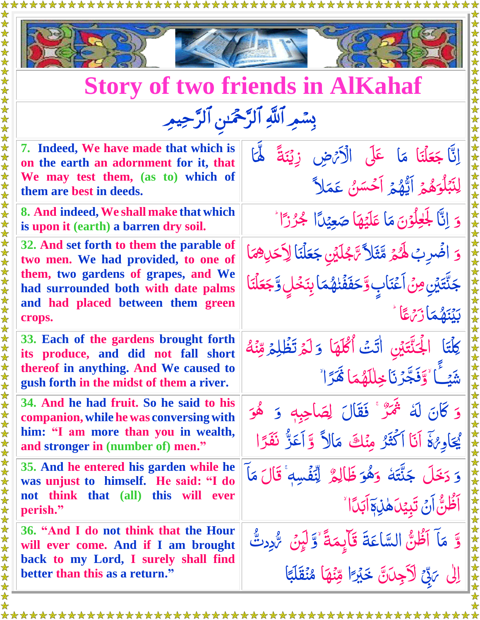



## **Story of two friends in AlKahaf**

| بِسْمِ ٱللَّهِ ٱلرَّحْمَٰنِ ٱلرَّحِيمِ |  |  |
|----------------------------------------|--|--|
|                                        |  |  |

| 7. Indeed, We have made that which is<br>on the earth an adornment for it, that<br>We may test them, (as to) which of<br>them are best in deeds.                  | إِنَّا جَعَلْنَا مَا عَلَى الْأَيْهِ زِيْنَةً لَهَا<br>لِنَبۡلُوَهُمۡ اَيُّهُمۡ اَحۡسَنُ عَمَلاً                                  |
|-------------------------------------------------------------------------------------------------------------------------------------------------------------------|-----------------------------------------------------------------------------------------------------------------------------------|
| 8. And indeed, We shall make that which<br>is upon it (earth) a barren dry soil.                                                                                  | وَ إِنَّا لَجَلَّحُوْنَ مَا عَلَيْهَا صَعِيْدًا لَجُرْزًا ً                                                                       |
| 32. And set forth to them the parable of<br>two men. We had provided, to one of<br>them, two gardens of grapes, and We<br>had surrounded both with date palms     | وَ اضْرِبْ لَهُمْ مَّثَلاً تَّكْلِين جَعَلْنَا لِأَحَدِهِمَا<br>جَنَّتَيۡنِ مِنۡ اَعۡنَابِ وَّحَفَفۡنَهُمَا بِنَخۡلٍ وَّجَعَلۡنَا |
| and had placed between them green<br>crops.                                                                                                                       | بَيْنَهُمَازَ مِمَّاً                                                                                                             |
| 33. Each of the gardens brought forth<br>its produce, and did not fall short<br>thereof in anything. And We caused to<br>gush forth in the midst of them a river. | كِلْتَا الْجَنَّتَيْنِ أَتَتْ أَكْلَهَا وَلَمْ تَظُلِّمْ مِّنْهُ<br>شَيْئًا وَقَجَّرْنَا خِلْلَهُمَا هَٰزَا ُ                     |
| 34. And he had fruit. So he said to his<br>companion, while he was conversing with<br>him: "I am more than you in wealth,<br>and stronger in (number of) men."    | وَ كَانَ لَهُ ثَمَرٌ ۚ فَقَالَ لِصَاحِبِهِ ۚ وَ هُوَ<br>يُجَاوِهُةَ أَنَا أَكْثَرُ مِنْكَ مَالاً وَّأَعَزُّ نَفَرًا               |
| 35. And he entered his garden while he<br>was unjust to himself. He said: "I do<br>not think that (all) this will ever<br>perish."                                | وَ دَخَلَ جَنَّتَهُ وَهُوَ ظَالِمٌ لِنَّفۡسِهٖ ۚ قَالَ مَآ<br><b>ٱڟۢٚڽُّ</b> ٲنۡ تَبِيۡدَۿڹؚ؋ٙٲبَدَٲ                              |
| 36. "And I do not think that the Hour<br>will ever come. And if I am brought<br>back to my Lord, I surely shall find<br>better than this as a return."            | وَّ مَا اَظُنُّ السَّاعَةَ قَالِِمَةً ٚوَّلَيْنَ ۚ رُّدِدتٌ<br>إِلَى مَرِّحٌ لَأَجِلَانَّ خَيْرًا مِّنْهَا مُنْقَلَبًا            |